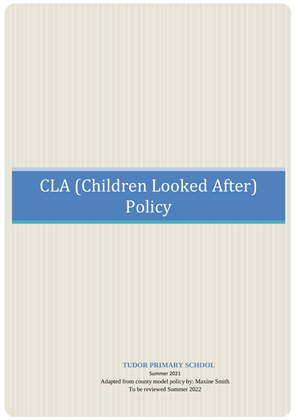## CLA (Children Looked After) Policy

**TUDOR PRIMARY SCHOOL**

Summer 2021 Adapted from county model policy by: Maxine Smith To be reviewed Summer 2022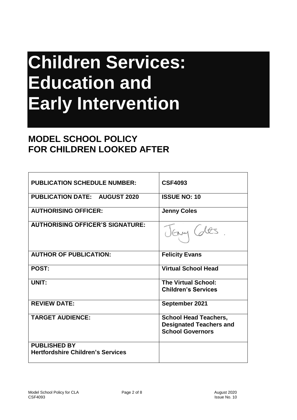# **Children Services: Education and Early Intervention**

### **MODEL SCHOOL POLICY FOR CHILDREN LOOKED AFTER**

| <b>PUBLICATION SCHEDULE NUMBER:</b>      | <b>CSF4093</b>                                                                            |
|------------------------------------------|-------------------------------------------------------------------------------------------|
|                                          |                                                                                           |
| <b>PUBLICATION DATE: AUGUST 2020</b>     | <b>ISSUE NO: 10</b>                                                                       |
| <b>AUTHORISING OFFICER:</b>              | <b>Jenny Coles</b>                                                                        |
| <b>AUTHORISING OFFICER'S SIGNATURE:</b>  |                                                                                           |
| <b>AUTHOR OF PUBLICATION:</b>            | <b>Felicity Evans</b>                                                                     |
| POST:                                    | <b>Virtual School Head</b>                                                                |
| UNIT:                                    | <b>The Virtual School:</b>                                                                |
|                                          | <b>Children's Services</b>                                                                |
| <b>REVIEW DATE:</b>                      | September 2021                                                                            |
| <b>TARGET AUDIENCE:</b>                  | <b>School Head Teachers,</b><br><b>Designated Teachers and</b><br><b>School Governors</b> |
| <b>PUBLISHED BY</b>                      |                                                                                           |
| <b>Hertfordshire Children's Services</b> |                                                                                           |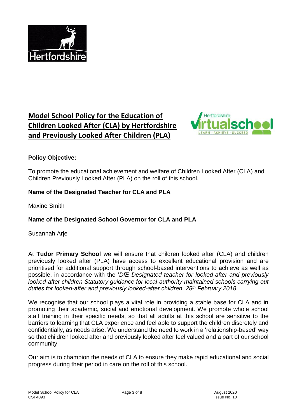

### **Model School Policy for the Education of Children Looked After (CLA) by Hertfordshire and Previously Looked After Children (PLA)**



#### **Policy Objective:**

To promote the educational achievement and welfare of Children Looked After (CLA) and Children Previously Looked After (PLA) on the roll of this school.

#### **Name of the Designated Teacher for CLA and PLA**

Maxine Smith

#### **Name of the Designated School Governor for CLA and PLA**

Susannah Arje

At **Tudor Primary School** we will ensure that children looked after (CLA) and children previously looked after (PLA) have access to excellent educational provision and are prioritised for additional support through school-based interventions to achieve as well as possible, in accordance with the '*DfE Designated teacher for looked-after and previously looked-after children Statutory guidance for local-authority-maintained schools carrying out duties for looked-after and previously looked-after children. 28th February 2018.*

We recognise that our school plays a vital role in providing a stable base for CLA and in promoting their academic, social and emotional development. We promote whole school staff training in their specific needs, so that all adults at this school are sensitive to the barriers to learning that CLA experience and feel able to support the children discretely and confidentially, as needs arise. We understand the need to work in a 'relationship-based' way so that children looked after and previously looked after feel valued and a part of our school community.

Our aim is to champion the needs of CLA to ensure they make rapid educational and social progress during their period in care on the roll of this school.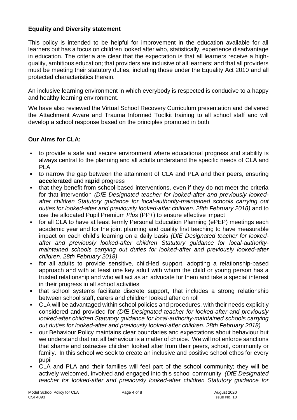#### **Equality and Diversity statement**

This policy is intended to be helpful for improvement in the education available for all learners but has a focus on children looked after who, statistically, experience disadvantage in education. The criteria are clear that the expectation is that all learners receive a highquality, ambitious education; that providers are inclusive of all learners; and that all providers must be meeting their statutory duties, including those under the Equality Act 2010 and all protected characteristics therein.

An inclusive learning environment in which everybody is respected is conducive to a happy and healthy learning environment.

We have also reviewed the Virtual School Recovery Curriculum presentation and delivered the Attachment Aware and Trauma Informed Toolkit training to all school staff and will develop a school response based on the principles promoted in both.

#### **Our Aims for CLA:**

- to provide a safe and secure environment where educational progress and stability is always central to the planning and all adults understand the specific needs of CLA and PLA
- to narrow the gap between the attainment of CLA and PLA and their peers, ensuring **accelerated** and **rapid** progress
- that they benefit from school-based interventions, even if they do not meet the criteria for that intervention *(DfE Designated teacher for looked-after and previously lookedafter children Statutory guidance for local-authority-maintained schools carrying out*  duties for looked-after and previously looked-after children. 28th February 2018) and to use the allocated Pupil Premium *Plus* (PP+) to ensure effective impact
- for all CLA to have at least termly Personal Education Planning (ePEP) meetings each academic year and for the joint planning and quality first teaching to have measurable impact on each child's learning on a daily basis *(DfE Designated teacher for lookedafter and previously looked-after children Statutory guidance for local-authoritymaintained schools carrying out duties for looked-after and previously looked-after children. 28th February 2018)*
- for all adults to provide sensitive, child-led support, adopting a relationship-based approach and with at least one key adult with whom the child or young person has a trusted relationship and who will act as an advocate for them and take a special interest in their progress in all school activities
- that school systems facilitate discrete support, that includes a strong relationship between school staff, carers and children looked after on roll
- CLA will be advantaged within school policies and procedures, with their needs explicitly considered and provided for *(DfE Designated teacher for looked-after and previously looked-after children Statutory guidance for local-authority-maintained schools carrying out duties for looked-after and previously looked-after children. 28th February 2018)*
- our Behaviour Policy maintains clear boundaries and expectations about behaviour but we understand that not all behaviour is a matter of choice. We will not enforce sanctions that shame and ostracise children looked after from their peers, school, community or family. In this school we seek to create an inclusive and positive school ethos for every pupil
- CLA and PLA and their families will feel part of the school community; they will be actively welcomed, involved and engaged into this school community *(DfE Designated teacher for looked-after and previously looked-after children Statutory guidance for*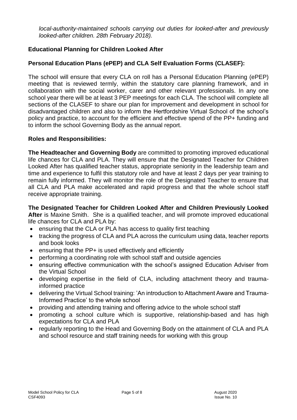*local-authority-maintained schools carrying out duties for looked-after and previously looked-after children. 28th February 2018).*

#### **Educational Planning for Children Looked After**

#### **Personal Education Plans (ePEP) and CLA Self Evaluation Forms (CLASEF):**

The school will ensure that every CLA on roll has a Personal Education Planning (ePEP) meeting that is reviewed termly, within the statutory care planning framework, and in collaboration with the social worker, carer and other relevant professionals. In any one school year there will be at least 3 PEP meetings for each CLA. The school will complete all sections of the CLASEF to share our plan for improvement and development in school for disadvantaged children and also to inform the Hertfordshire Virtual School of the school's policy and practice, to account for the efficient and effective spend of the PP+ funding and to inform the school Governing Body as the annual report.

#### **Roles and Responsibilities:**

**The Headteacher and Governing Body** are committed to promoting improved educational life chances for CLA and PLA. They will ensure that the Designated Teacher for Children Looked After has qualified teacher status, appropriate seniority in the leadership team and time and experience to fulfil this statutory role and have at least 2 days per year training to remain fully informed. They will monitor the role of the Designated Teacher to ensure that all CLA and PLA make accelerated and rapid progress and that the whole school staff receive appropriate training.

**The Designated Teacher for Children Looked After and Children Previously Looked After** is Maxine Smith. She is a qualified teacher, and will promote improved educational life chances for CLA and PLA by:

- ensuring that the CLA or PLA has access to quality first teaching
- tracking the progress of CLA and PLA across the curriculum using data, teacher reports and book looks
- ensuring that the PP+ is used effectively and efficiently
- performing a coordinating role with school staff and outside agencies
- ensuring effective communication with the school's assigned Education Adviser from the Virtual School
- developing expertise in the field of CLA, including attachment theory and traumainformed practice
- delivering the Virtual School training: 'An introduction to Attachment Aware and Trauma-Informed Practice' to the whole school
- providing and attending training and offering advice to the whole school staff
- promoting a school culture which is supportive, relationship-based and has high expectations for CLA and PLA
- regularly reporting to the Head and Governing Body on the attainment of CLA and PLA and school resource and staff training needs for working with this group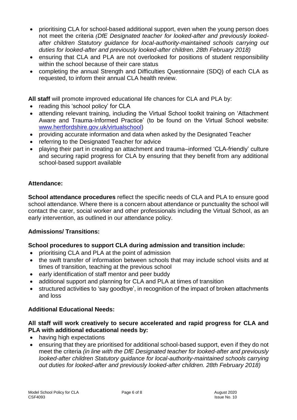- prioritising CLA for school-based additional support, even when the young person does not meet the criteria *(DfE Designated teacher for looked-after and previously lookedafter children Statutory guidance for local-authority-maintained schools carrying out duties for looked-after and previously looked-after children. 28th February 2018)*
- ensuring that CLA and PLA are not overlooked for positions of student responsibility within the school because of their care status
- completing the annual Strength and Difficulties Questionnaire (SDQ) of each CLA as requested, to inform their annual CLA health review.

**All staff** will promote improved educational life chances for CLA and PLA by:

- reading this 'school policy' for CLA
- attending relevant training, including the Virtual School toolkit training on 'Attachment Aware and Trauma-Informed Practice' (to be found on the Virtual School website: [www.hertfordshire.gov.uk/virtualschool\)](http://www.hertfordshire.gov.uk/virtualschool)
- providing accurate information and data when asked by the Designated Teacher
- referring to the Designated Teacher for advice
- playing their part in creating an attachment and trauma–informed 'CLA-friendly' culture and securing rapid progress for CLA by ensuring that they benefit from any additional school-based support available

#### **Attendance:**

**School attendance procedures** reflect the specific needs of CLA and PLA to ensure good school attendance. Where there is a concern about attendance or punctuality the school will contact the carer, social worker and other professionals including the Virtual School, as an early intervention, as outlined in our attendance policy.

#### **Admissions/ Transitions:**

#### **School procedures to support CLA during admission and transition include:**

- prioritising CLA and PLA at the point of admission
- the swift transfer of information between schools that may include school visits and at times of transition, teaching at the previous school
- early identification of staff mentor and peer buddy
- additional support and planning for CLA and PLA at times of transition
- structured activities to 'say goodbye', in recognition of the impact of broken attachments and loss

#### **Additional Educational Needs:**

#### **All staff will work creatively to secure accelerated and rapid progress for CLA and PLA with additional educational needs by:**

- having high expectations
- ensuring that they are prioritised for additional school-based support, even if they do not meet the criteria *(in line with the DfE Designated teacher for looked-after and previously looked-after children Statutory guidance for local-authority-maintained schools carrying out duties for looked-after and previously looked-after children. 28th February 2018)*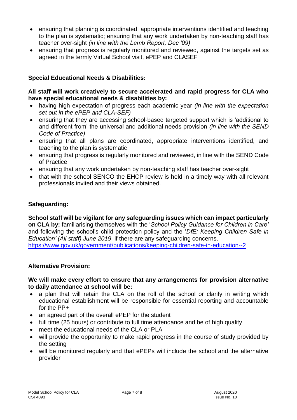- ensuring that planning is coordinated, appropriate interventions identified and teaching to the plan is systematic; ensuring that any work undertaken by non-teaching staff has teacher over-sight *(in line with the Lamb Report, Dec '09)*
- ensuring that progress is regularly monitored and reviewed, against the targets set as agreed in the termly Virtual School visit, ePEP and CLASEF

#### **Special Educational Needs & Disabilities:**

#### **All staff will work creatively to secure accelerated and rapid progress for CLA who have special educational needs & disabilities by:**

- having high expectation of progress each academic year *(in line with the expectation set out in the ePEP and CLA-SEF)*
- ensuring that they are accessing school-based targeted support which is 'additional to and different from' the universal and additional needs provision *(in line with the SEND Code of Practice)*
- ensuring that all plans are coordinated, appropriate interventions identified, and teaching to the plan is systematic
- ensuring that progress is regularly monitored and reviewed, in line with the SEND Code of Practice
- ensuring that any work undertaken by non-teaching staff has teacher over-sight
- that with the school SENCO the EHCP review is held in a timely way with all relevant professionals invited and their views obtained.

#### **Safeguarding:**

**School staff will be vigilant for any safeguarding issues which can impact particularly on CLA by:** familiarising themselves with the '*School Policy Guidance for Children in Care'* and following the school's child protection policy and the '*DfE: Keeping Children Safe in Education' (All staff) June 2019*, if there are any safeguarding concerns. <https://www.gov.uk/government/publications/keeping-children-safe-in-education--2>

#### **Alternative Provision:**

#### **We will make every effort to ensure that any arrangements for provision alternative to daily attendance at school will be:**

- a plan that will retain the CLA on the roll of the school or clarify in writing which educational establishment will be responsible for essential reporting and accountable for the PP+
- an agreed part of the overall ePEP for the student
- full time (25 hours) or contribute to full time attendance and be of high quality
- meet the educational needs of the CLA or PLA
- will provide the opportunity to make rapid progress in the course of study provided by the setting
- will be monitored regularly and that ePEPs will include the school and the alternative provider